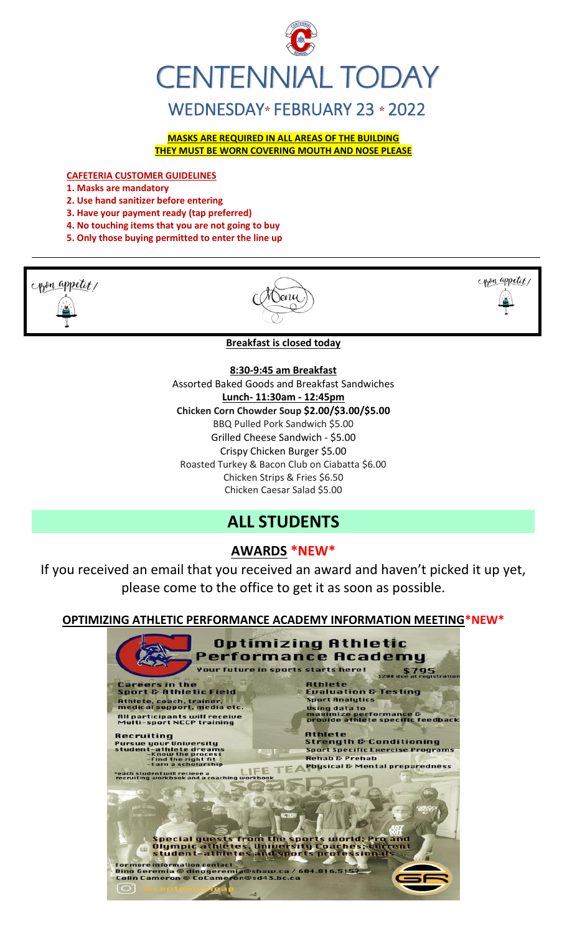

**MASKS ARE REQUIRED IN ALL AREAS OF THE BUILDING THEY MUST BE WORN COVERING MOUTH AND NOSE PLEASE**

**CAFETERIA CUSTOMER GUIDELINES**

**1. Masks are mandatory**

- **2. Use hand sanitizer before entering**
- **3. Have your payment ready (tap preferred)**
- **4. No touching items that you are not going to buy**
- **5. Only those buying permitted to enter the line up**

pon appetit/





**Breakfast is closed today**

**8:30-9:45 am Breakfast**

Assorted Baked Goods and Breakfast Sandwiches **Lunch- 11:30am - 12:45pm Chicken Corn Chowder Soup \$2.00/\$3.00/\$5.00** BBQ Pulled Pork Sandwich \$5.00 Grilled Cheese Sandwich - \$5.00 Crispy Chicken Burger \$5.00 Roasted Turkey & Bacon Club on Ciabatta \$6.00 Chicken Strips & Fries \$6.50 Chicken Caesar Salad \$5.00

## **ALL STUDENTS**

## **AWARDS \*NEW\***

If you received an email that you received an award and haven't picked it up yet, please come to the office to get it as soon as possible.

**OPTIMIZING ATHLETIC PERFORMANCE ACADEMY INFORMATION MEETING\*NEW\***

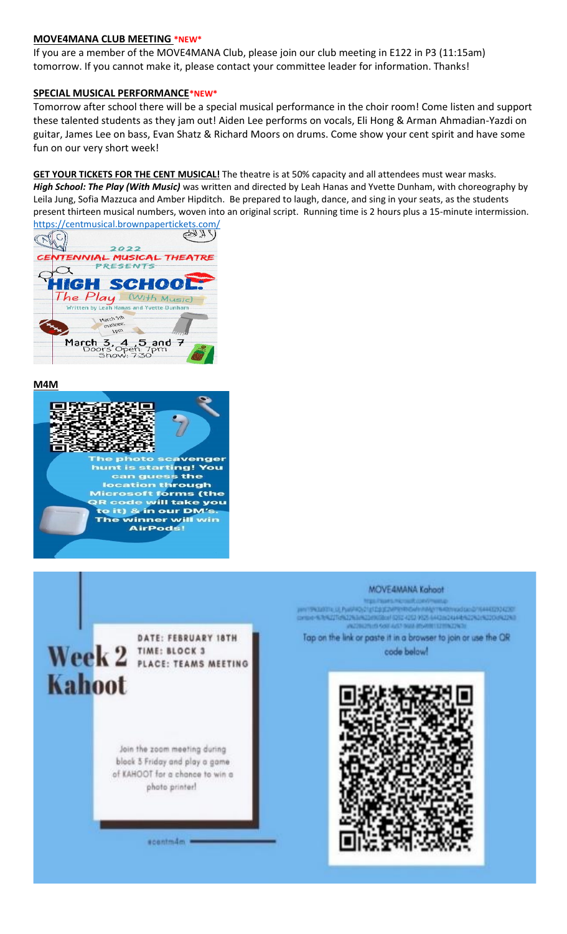#### **MOVE4MANA CLUB MEETING \*NEW\***

If you are a member of the MOVE4MANA Club, please join our club meeting in E122 in P3 (11:15am) tomorrow. If you cannot make it, please contact your committee leader for information. Thanks!

#### **SPECIAL MUSICAL PERFORMANCE\*NEW\***

Tomorrow after school there will be a special musical performance in the choir room! Come listen and support these talented students as they jam out! Aiden Lee performs on vocals, Eli Hong & Arman Ahmadian-Yazdi on guitar, James Lee on bass, Evan Shatz & Richard Moors on drums. Come show your cent spirit and have some fun on our very short week!

**GET YOUR TICKETS FOR THE CENT MUSICAL!** The theatre is at 50% capacity and all attendees must wear masks. *High School: The Play (With Music)* was written and directed by Leah Hanas and Yvette Dunham, with choreography by Leila Jung, Sofia Mazzuca and Amber Hipditch. Be prepared to laugh, dance, and sing in your seats, as the students present thirteen musical numbers, woven into an original script. Running time is 2 hours plus a 15-minute intermission.



#### **M4M**



MOVE4MANA Kahoot HYVINGERING OLI PUNARDIZTERSEZINIPENING ANALYSING PINARDIVOIDELE DI ISAAKEEYO KESSI DYNA 4.3/4275/42243/4224909/4/4232-4252-9525-64120-2444-5225-4220-042243 **CONCRETE GOLFAST INN INVITED IN** Tap on the link or paste it in a browser to join or use the QR DATE: FEBRUARY 18TH Week 2 **TIME: BLOCK 3**<br>Week 2 **PLACE: TEAMS MEETING** code below! **Kahoot** Join the zoom meeting during block 3 Friday and play a game of KAHOOT for a chance to win a photo printer! scentm4m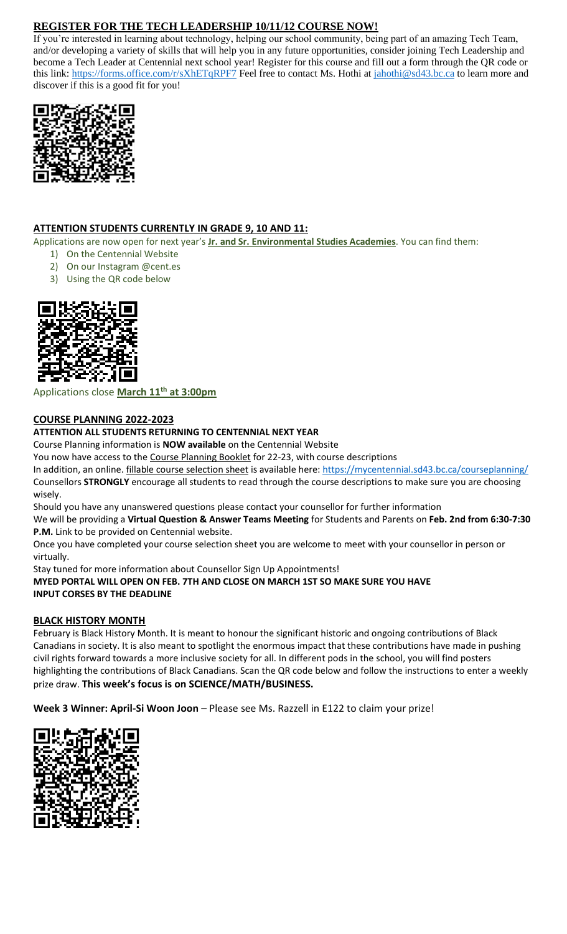### **REGISTER FOR THE TECH LEADERSHIP 10/11/12 COURSE NOW!**

If you're interested in learning about technology, helping our school community, being part of an amazing Tech Team, and/or developing a variety of skills that will help you in any future opportunities, consider joining Tech Leadership and become a Tech Leader at Centennial next school year! Register for this course and fill out a form through the QR code or this link:<https://forms.office.com/r/sXhETqRPF7> Feel free to contact Ms. Hothi at [jahothi@sd43.bc.ca](mailto:jahothi@sd43.bc.ca) to learn more and discover if this is a good fit for you!



#### **ATTENTION STUDENTS CURRENTLY IN GRADE 9, 10 AND 11:**

Applications are now open for next year's **Jr. and Sr. Environmental Studies Academies**. You can find them:

- 1) On the Centennial Website
- 2) On our Instagram @cent.es
- 3) Using the QR code below



#### Applications close **March 11th at 3:00pm**

#### **COURSE PLANNING 2022-2023**

#### **ATTENTION ALL STUDENTS RETURNING TO CENTENNIAL NEXT YEAR**

Course Planning information is **NOW available** on the Centennial Website

You now have access to the Course Planning Booklet for 22-23, with course descriptions

In addition, an online. fillable course selection sheet is available here:<https://mycentennial.sd43.bc.ca/courseplanning/> Counsellors **STRONGLY** encourage all students to read through the course descriptions to make sure you are choosing wisely.

Should you have any unanswered questions please contact your counsellor for further information

We will be providing a **Virtual Question & Answer Teams Meeting** for Students and Parents on **Feb. 2nd from 6:30-7:30 P.M.** Link to be provided on Centennial website.

Once you have completed your course selection sheet you are welcome to meet with your counsellor in person or virtually.

Stay tuned for more information about Counsellor Sign Up Appointments! **MYED PORTAL WILL OPEN ON FEB. 7TH AND CLOSE ON MARCH 1ST SO MAKE SURE YOU HAVE INPUT CORSES BY THE DEADLINE** 

#### **BLACK HISTORY MONTH**

February is Black History Month. It is meant to honour the significant historic and ongoing contributions of Black Canadians in society. It is also meant to spotlight the enormous impact that these contributions have made in pushing civil rights forward towards a more inclusive society for all. In different pods in the school, you will find posters highlighting the contributions of Black Canadians. Scan the QR code below and follow the instructions to enter a weekly prize draw. **This week's focus is on SCIENCE/MATH/BUSINESS.**

**Week 3 Winner: April-Si Woon Joon** – Please see Ms. Razzell in E122 to claim your prize!

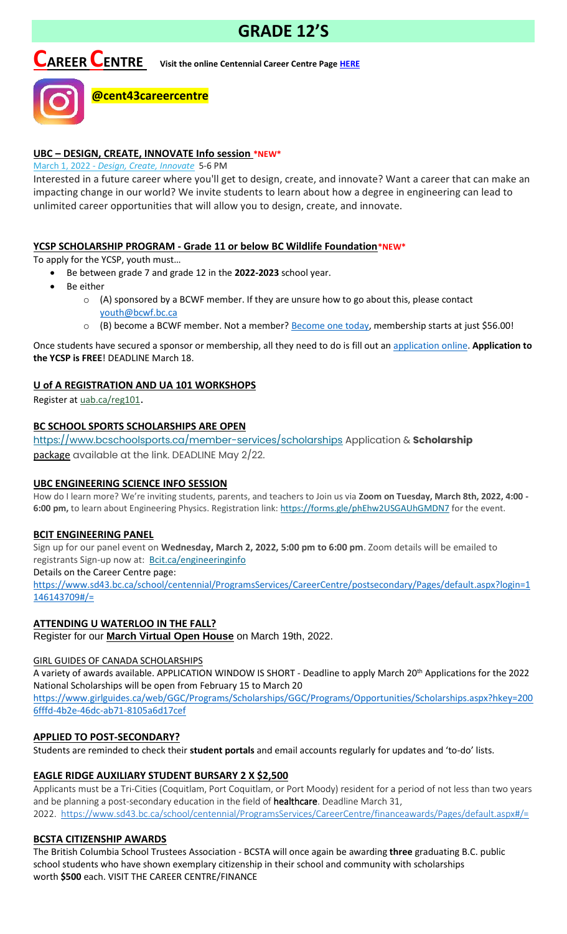# **GRADE 12'S**

# **CAREER CENTRE Visit the online Centennial Career Centre Page [HERE](https://www.sd43.bc.ca/school/centennial/ProgramsServices/CareerCentre/experiences/Pages/default.aspx#/=)**



#### **UBC – DESIGN, CREATE, INNOVATE Info session \*NEW\***

**@cent43careercentre** 

March 1, 2022 - *[Design, Create, Innovate](https://usend.ubc.ca/sendy/l/rIVID892cGlXFhKkqDAP4pPw/CoLQGWp5F1aXR61frGQTLg/2NVMXaF6kwoqb0Zu2zyabA)* 5-6 PM

Interested in a future career where you'll get to design, create, and innovate? Want a career that can make an impacting change in our world? We invite students to learn about how a degree in engineering can lead to unlimited career opportunities that will allow you to design, create, and innovate.

#### **YCSP SCHOLARSHIP PROGRAM - Grade 11 or below BC Wildlife Foundation\*NEW\***

To apply for the YCSP, youth must…

- Be between grade 7 and grade 12 in the **2022-2023** school year.
- Be either
	- o (A) sponsored by a BCWF member. If they are unsure how to go about this, please contact [youth@bcwf.bc.ca](mailto:youth@bcwf.bc.ca)
	- $\circ$  (B) become a BCWF member. Not a member? **Become one today**, membership starts at just \$56.00!

Once students have secured a sponsor or membership, all they need to do is fill out a[n application online.](https://bcwf.bc.ca/young-conservationist-scholarship-program/) **Application to the YCSP is FREE**! DEADLINE March 18.

#### **U of A REGISTRATION AND UA 101 WORKSHOPS**

Register at [uab.ca/reg101](https://mx.technolutions.net/ss/c/gsby7xed_Q9kJKoUKuDGdBFBFhSssENYnEfiUuIzPCfFN0X3A85kPAIgyq7RiYgwxLMjfjPrT5ubbLquOrRDxK72JMmEaemjtQ-x5F7JbqKIaR1RAtLsCh34w4gSRWxqfNkRX2_wjYVF_seczQFJmagZUh9OQeP0xNj-Hixx2Sg3JnHBPhydC8HcexOScs8YVD4ugtQ2fJtOUHpTerlnqw/3js/owb9Bwa2RtmSXdZ4fDFQKQ/h1/Vunb3WZeMjEwcwwYR3Ln_R-AscdiWy-_XZk-TunPKCY).

#### **BC SCHOOL SPORTS SCHOLARSHIPS ARE OPEN**

<https://www.bcschoolsports.ca/member-services/scholarships> Application & **Scholarship**  package available at the link. DEADLINE May 2/22.

#### **UBC ENGINEERING SCIENCE INFO SESSION**

How do I learn more? We're inviting students, parents, and teachers to Join us via **Zoom on Tuesday, March 8th, 2022, 4:00**  6:00 pm, to learn about Engineering Physics. Registration link: <https://forms.gle/phEhw2USGAUhGMDN7> for the event.

#### **BCIT ENGINEERING PANEL**

Sign up for our panel event on **Wednesday, March 2, 2022, 5:00 pm to 6:00 pm**. Zoom details will be emailed to registrants Sign-up now at: [Bcit.ca/engineeringinfo](https://www.bcit.ca/event/engineering-panel-online-information-session/)

Details on the Career Centre page:

[https://www.sd43.bc.ca/school/centennial/ProgramsServices/CareerCentre/postsecondary/Pages/default.aspx?login=1](https://www.sd43.bc.ca/school/centennial/ProgramsServices/CareerCentre/postsecondary/Pages/default.aspx?login=1146143709#/=) [146143709#/=](https://www.sd43.bc.ca/school/centennial/ProgramsServices/CareerCentre/postsecondary/Pages/default.aspx?login=1146143709#/=)

#### **ATTENDING U WATERLOO IN THE FALL?**

Register for our **[March Virtual Open House](https://uwaterloo.us3.list-manage.com/track/click?u=a81bb5075c90cdf7258cb7029&id=a88e5ad2bb&e=c0c4fc71cc)** on March 19th, 2022.

#### GIRL GUIDES OF CANADA SCHOLARSHIPS

A variety of awards available. APPLICATION WINDOW IS SHORT - Deadline to apply March 20th Applications for the 2022 National Scholarships will be open from February 15 to March 20

[https://www.girlguides.ca/web/GGC/Programs/Scholarships/GGC/Programs/Opportunities/Scholarships.aspx?hkey=200](https://www.girlguides.ca/web/GGC/Programs/Scholarships/GGC/Programs/Opportunities/Scholarships.aspx?hkey=2006fffd-4b2e-​46dc-ab71-8105a6d17cef) [6fffd-4b2e-46dc-ab71-8105a6d17cef](https://www.girlguides.ca/web/GGC/Programs/Scholarships/GGC/Programs/Opportunities/Scholarships.aspx?hkey=2006fffd-4b2e-​46dc-ab71-8105a6d17cef)

#### **APPLIED TO POST-SECONDARY?**

Students are reminded to check their **student portals** and email accounts regularly for updates and 'to-do' lists.

#### **EAGLE RIDGE AUXILIARY STUDENT BURSARY 2 X \$2,500**

Applicants must be a Tri-Cities (Coquitlam, Port Coquitlam, or Port Moody) resident for a period of not less than two years and be planning a post-secondary education in the field of **healthcare**. Deadline March 31, 2022. <https://www.sd43.bc.ca/school/centennial/ProgramsServices/CareerCentre/financeawards/Pages/default.aspx#/=>

#### **BCSTA CITIZENSHIP AWARDS**

The British Columbia School Trustees Association - BCSTA will once again be awarding **three** graduating B.C. public school students who have shown exemplary citizenship in their school and community with scholarships worth **\$500** each. VISIT THE CAREER CENTRE/FINANCE